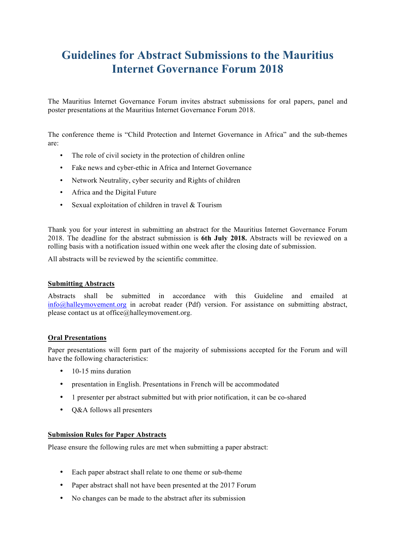# **Guidelines for Abstract Submissions to the Mauritius Internet Governance Forum 2018**

The Mauritius Internet Governance Forum invites abstract submissions for oral papers, panel and poster presentations at the Mauritius Internet Governance Forum 2018.

The conference theme is "Child Protection and Internet Governance in Africa" and the sub-themes are:

- The role of civil society in the protection of children online
- Fake news and cyber-ethic in Africa and Internet Governance
- Network Neutrality, cyber security and Rights of children
- Africa and the Digital Future
- Sexual exploitation of children in travel & Tourism

Thank you for your interest in submitting an abstract for the Mauritius Internet Governance Forum 2018. The deadline for the abstract submission is **6th July 2018.** Abstracts will be reviewed on a rolling basis with a notification issued within one week after the closing date of submission.

All abstracts will be reviewed by the scientific committee.

#### **Submitting Abstracts**

Abstracts shall be submitted in accordance with this Guideline and emailed at info@halleymovement.org in acrobat reader (Pdf) version. For assistance on submitting abstract, please contact us at office $(a)$ halleymovement.org.

#### **Oral Presentations**

Paper presentations will form part of the majority of submissions accepted for the Forum and will have the following characteristics:

- 10-15 mins duration
- presentation in English. Presentations in French will be accommodated
- 1 presenter per abstract submitted but with prior notification, it can be co-shared
- Q&A follows all presenters

#### **Submission Rules for Paper Abstracts**

Please ensure the following rules are met when submitting a paper abstract:

- Each paper abstract shall relate to one theme or sub-theme
- Paper abstract shall not have been presented at the 2017 Forum
- No changes can be made to the abstract after its submission